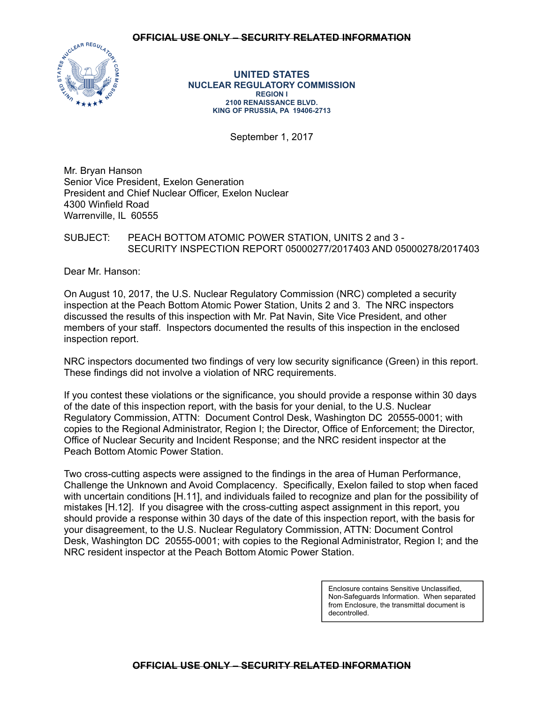

**UNITED STATES NUCLEAR REGULATORY COMMISSION REGION I 2100 RENAISSANCE BLVD. KING OF PRUSSIA, PA 19406-2713** 

September 1, 2017

Mr. Bryan Hanson Senior Vice President, Exelon Generation President and Chief Nuclear Officer, Exelon Nuclear 4300 Winfield Road Warrenville, IL 60555

## SUBJECT: PEACH BOTTOM ATOMIC POWER STATION, UNITS 2 and 3 - SECURITY INSPECTION REPORT 05000277/2017403 AND 05000278/2017403

Dear Mr. Hanson:

On August 10, 2017, the U.S. Nuclear Regulatory Commission (NRC) completed a security inspection at the Peach Bottom Atomic Power Station, Units 2 and 3. The NRC inspectors discussed the results of this inspection with Mr. Pat Navin, Site Vice President, and other members of your staff. Inspectors documented the results of this inspection in the enclosed inspection report.

NRC inspectors documented two findings of very low security significance (Green) in this report. These findings did not involve a violation of NRC requirements.

If you contest these violations or the significance, you should provide a response within 30 days of the date of this inspection report, with the basis for your denial, to the U.S. Nuclear Regulatory Commission, ATTN: Document Control Desk, Washington DC 20555-0001; with copies to the Regional Administrator, Region I; the Director, Office of Enforcement; the Director, Office of Nuclear Security and Incident Response; and the NRC resident inspector at the Peach Bottom Atomic Power Station.

Two cross-cutting aspects were assigned to the findings in the area of Human Performance, Challenge the Unknown and Avoid Complacency. Specifically, Exelon failed to stop when faced with uncertain conditions [H.11], and individuals failed to recognize and plan for the possibility of mistakes [H.12]. If you disagree with the cross-cutting aspect assignment in this report, you should provide a response within 30 days of the date of this inspection report, with the basis for your disagreement, to the U.S. Nuclear Regulatory Commission, ATTN: Document Control Desk, Washington DC 20555-0001; with copies to the Regional Administrator, Region I; and the NRC resident inspector at the Peach Bottom Atomic Power Station.

> Enclosure contains Sensitive Unclassified, Non-Safeguards Information. When separated from Enclosure, the transmittal document is decontrolled.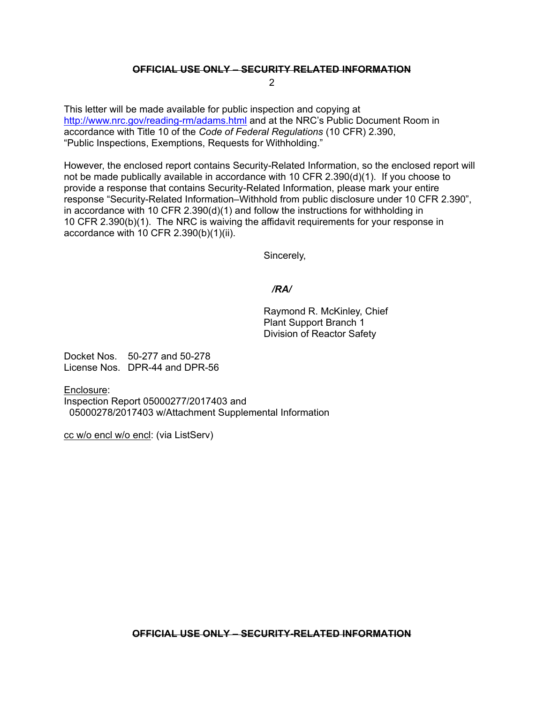## **OFFICIAL USE ONLY – SECURITY RELATED INFORMATION**

2

This letter will be made available for public inspection and copying at http://www.nrc.gov/reading-rm/adams.html and at the NRC's Public Document Room in accordance with Title 10 of the *Code of Federal Regulations* (10 CFR) 2.390, "Public Inspections, Exemptions, Requests for Withholding."

However, the enclosed report contains Security-Related Information, so the enclosed report will not be made publically available in accordance with 10 CFR 2.390(d)(1). If you choose to provide a response that contains Security-Related Information, please mark your entire response "Security-Related Information–Withhold from public disclosure under 10 CFR 2.390", in accordance with 10 CFR 2.390(d)(1) and follow the instructions for withholding in 10 CFR 2.390(b)(1). The NRC is waiving the affidavit requirements for your response in accordance with 10 CFR 2.390(b)(1)(ii).

Sincerely,

## */RA/*

Raymond R. McKinley, Chief Plant Support Branch 1 Division of Reactor Safety

Docket Nos. 50-277 and 50-278 License Nos. DPR-44 and DPR-56

Enclosure: Inspection Report 05000277/2017403 and 05000278/2017403 w/Attachment Supplemental Information

cc w/o encl w/o encl: (via ListServ)